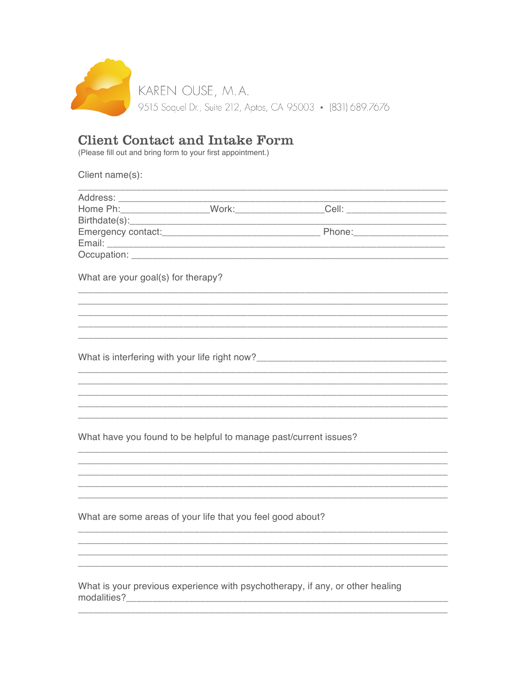

## **Client Contact and Intake Form**<br>(Please fill out and bring form to your first appointment.)

Client name(s):

| What are your goal(s) for therapy?                                               |  |                                                                               |  |
|----------------------------------------------------------------------------------|--|-------------------------------------------------------------------------------|--|
|                                                                                  |  |                                                                               |  |
|                                                                                  |  |                                                                               |  |
|                                                                                  |  |                                                                               |  |
|                                                                                  |  | <u> 1999 - Johann Stoff, amerikansk politiker (d. 1989)</u>                   |  |
|                                                                                  |  |                                                                               |  |
| What is interfering with your life right now?___________________________________ |  |                                                                               |  |
|                                                                                  |  |                                                                               |  |
|                                                                                  |  |                                                                               |  |
|                                                                                  |  |                                                                               |  |
|                                                                                  |  |                                                                               |  |
|                                                                                  |  |                                                                               |  |
| What have you found to be helpful to manage past/current issues?                 |  |                                                                               |  |
|                                                                                  |  |                                                                               |  |
|                                                                                  |  |                                                                               |  |
|                                                                                  |  |                                                                               |  |
|                                                                                  |  |                                                                               |  |
|                                                                                  |  |                                                                               |  |
| What are some areas of your life that you feel good about?                       |  |                                                                               |  |
|                                                                                  |  |                                                                               |  |
|                                                                                  |  |                                                                               |  |
|                                                                                  |  |                                                                               |  |
|                                                                                  |  | What is your previous experience with psychotherapy, if any, or other healing |  |
| modalities?                                                                      |  |                                                                               |  |